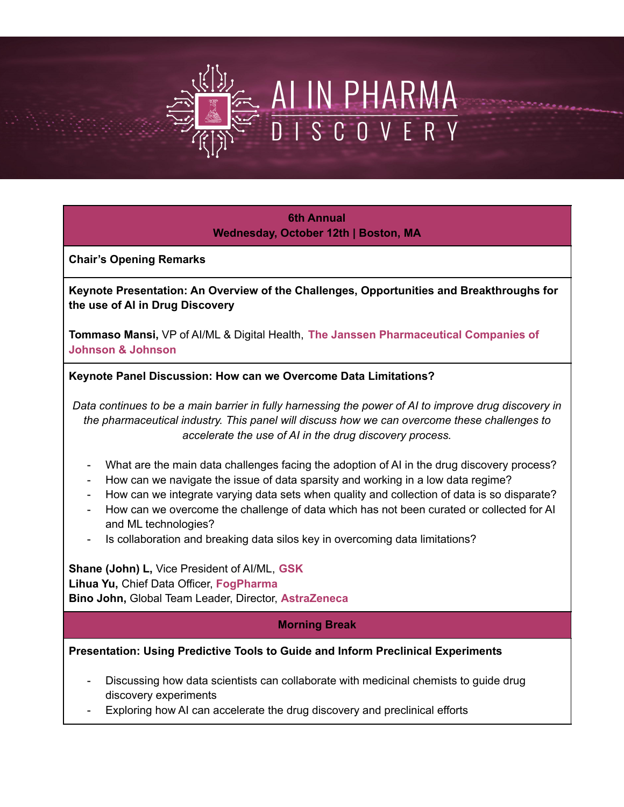# AI IN PHARMA D I S C O V E R Y

**6th Annual Wednesday, October 12th | Boston, MA**

**Chair's Opening Remarks**

**Keynote Presentation: An Overview of the Challenges, Opportunities and Breakthroughs for the use of AI in Drug Discovery**

**Tommaso Mansi,** VP of AI/ML & Digital Health, **The Janssen Pharmaceutical Companies of Johnson & Johnson**

**Keynote Panel Discussion: How can we Overcome Data Limitations?**

Data continues to be a main barrier in fully harnessing the power of AI to improve drug discovery in *the pharmaceutical industry. This panel will discuss how we can overcome these challenges to accelerate the use of AI in the drug discovery process.*

- What are the main data challenges facing the adoption of AI in the drug discovery process?
- How can we navigate the issue of data sparsity and working in a low data regime?
- How can we integrate varying data sets when quality and collection of data is so disparate?
- How can we overcome the challenge of data which has not been curated or collected for AI and ML technologies?
- Is collaboration and breaking data silos key in overcoming data limitations?

**Shane (John) L,** Vice President of AI/ML, **GSK Lihua Yu,** Chief Data Officer, **FogPharma Bino John,** Global Team Leader, Director, **AstraZeneca**

### **Morning Break**

**Presentation: Using Predictive Tools to Guide and Inform Preclinical Experiments**

- Discussing how data scientists can collaborate with medicinal chemists to guide drug discovery experiments
- Exploring how AI can accelerate the drug discovery and preclinical efforts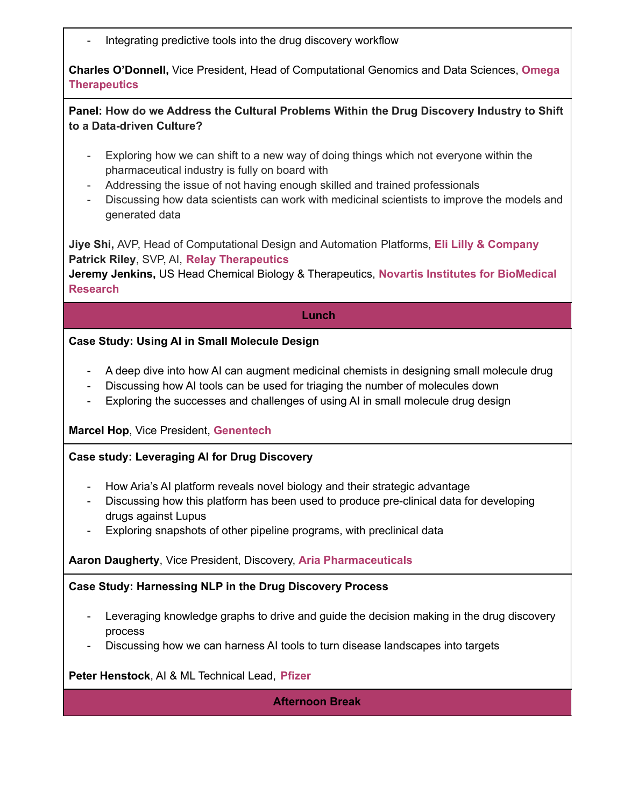Integrating predictive tools into the drug discovery workflow

**Charles O'Donnell,** Vice President, Head of Computational Genomics and Data Sciences, **Omega Therapeutics**

**Panel: How do we Address the Cultural Problems Within the Drug Discovery Industry to Shift to a Data-driven Culture?**

- Exploring how we can shift to a new way of doing things which not everyone within the pharmaceutical industry is fully on board with
- Addressing the issue of not having enough skilled and trained professionals
- Discussing how data scientists can work with medicinal scientists to improve the models and generated data

**Jiye Shi,** AVP, Head of Computational Design and Automation Platforms, **Eli Lilly & Company Patrick Riley**, SVP, AI, **Relay Therapeutics**

**Jeremy Jenkins,** US Head Chemical Biology & Therapeutics, **Novartis Institutes for BioMedical Research**

**Lunch**

### **Case Study: Using AI in Small Molecule Design**

- A deep dive into how AI can augment medicinal chemists in designing small molecule drug
- Discussing how AI tools can be used for triaging the number of molecules down
- Exploring the successes and challenges of using AI in small molecule drug design

### **Marcel Hop**, Vice President, **Genentech**

### **Case study: Leveraging AI for Drug Discovery**

- How Aria's AI platform reveals novel biology and their strategic advantage
- Discussing how this platform has been used to produce pre-clinical data for developing drugs against Lupus
- Exploring snapshots of other pipeline programs, with preclinical data

### **Aaron Daugherty**, Vice President, Discovery, **Aria Pharmaceuticals**

### **Case Study: Harnessing NLP in the Drug Discovery Process**

- Leveraging knowledge graphs to drive and guide the decision making in the drug discovery process
- Discussing how we can harness AI tools to turn disease landscapes into targets

**Peter Henstock**, AI & ML Technical Lead, **Pfizer**

**Afternoon Break**